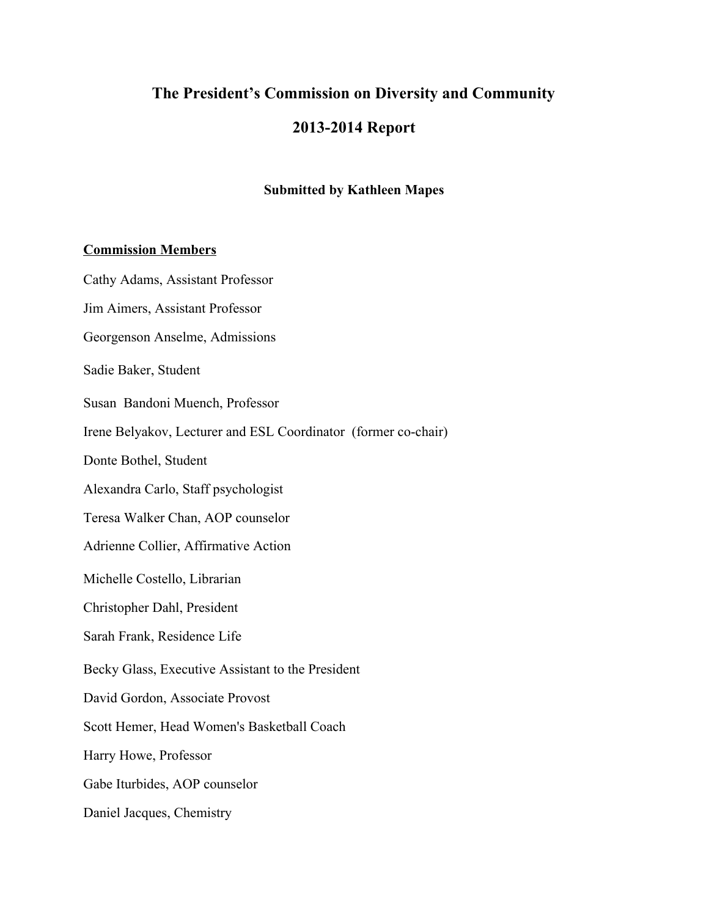# **The President's Commission on Diversity and Community 20132014 Report**

# **Submitted by Kathleen Mapes**

#### **Commission Members**

Cathy Adams, Assistant Professor Jim Aimers, Assistant Professor Georgenson Anselme, Admissions Sadie Baker, Student Susan Bandoni Muench, Professor Irene Belyakov, Lecturer and ESL Coordinator (former cochair) Donte Bothel, Student Alexandra Carlo, Staff psychologist Teresa Walker Chan, AOP counselor Adrienne Collier, Affirmative Action Michelle Costello, Librarian Christopher Dahl, President Sarah Frank, Residence Life Becky Glass, Executive Assistant to the President David Gordon, Associate Provost Scott Hemer, Head Women's Basketball Coach Harry Howe, Professor Gabe Iturbides, AOP counselor Daniel Jacques, Chemistry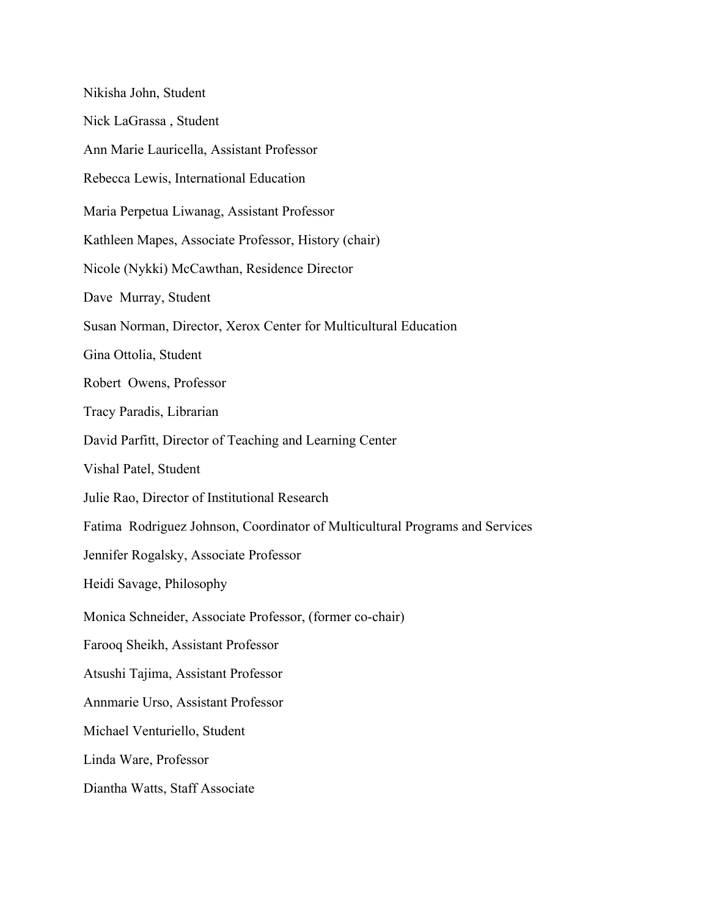Nikisha John, Student Nick LaGrassa , Student Ann Marie Lauricella, Assistant Professor Rebecca Lewis, International Education Maria Perpetua Liwanag, Assistant Professor Kathleen Mapes, Associate Professor, History (chair) Nicole (Nykki) McCawthan, Residence Director Dave Murray, Student Susan Norman, Director, Xerox Center for Multicultural Education Gina Ottolia, Student Robert Owens, Professor Tracy Paradis, Librarian David Parfitt, Director of Teaching and Learning Center Vishal Patel, Student Julie Rao, Director of Institutional Research Fatima Rodriguez Johnson, Coordinator of Multicultural Programs and Services Jennifer Rogalsky, Associate Professor Heidi Savage, Philosophy Monica Schneider, Associate Professor, (former co-chair) Farooq Sheikh, Assistant Professor Atsushi Tajima, Assistant Professor Annmarie Urso, Assistant Professor Michael Venturiello, Student Linda Ware, Professor Diantha Watts, Staff Associate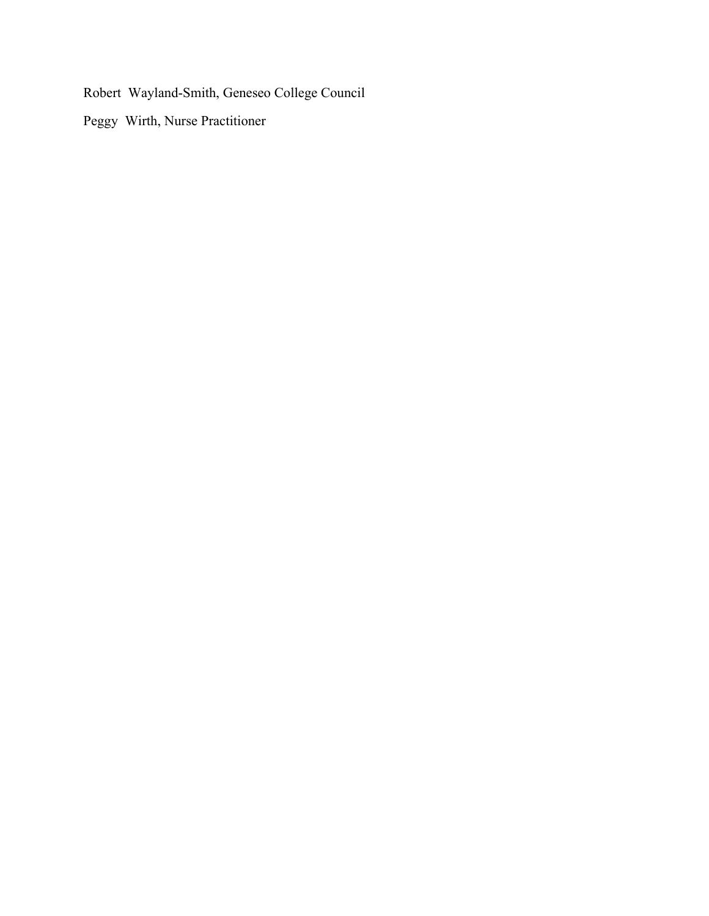Robert Wayland-Smith, Geneseo College Council

Peggy Wirth, Nurse Practitioner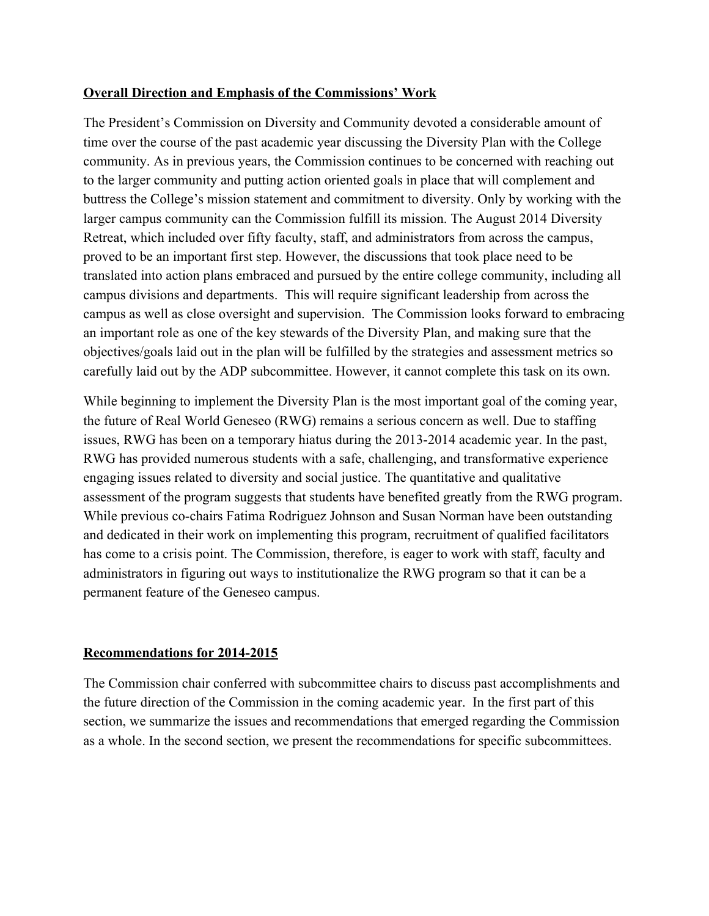# **Overall Direction and Emphasis of the Commissions' Work**

The President's Commission on Diversity and Community devoted a considerable amount of time over the course of the past academic year discussing the Diversity Plan with the College community. As in previous years, the Commission continues to be concerned with reaching out to the larger community and putting action oriented goals in place that will complement and buttress the College's mission statement and commitment to diversity. Only by working with the larger campus community can the Commission fulfill its mission. The August 2014 Diversity Retreat, which included over fifty faculty, staff, and administrators from across the campus, proved to be an important first step. However, the discussions that took place need to be translated into action plans embraced and pursued by the entire college community, including all campus divisions and departments. This will require significant leadership from across the campus as well as close oversight and supervision. The Commission looks forward to embracing an important role as one of the key stewards of the Diversity Plan, and making sure that the objectives/goals laid out in the plan will be fulfilled by the strategies and assessment metrics so carefully laid out by the ADP subcommittee. However, it cannot complete this task on its own.

While beginning to implement the Diversity Plan is the most important goal of the coming year, the future of Real World Geneseo (RWG) remains a serious concern as well. Due to staffing issues, RWG has been on a temporary hiatus during the 2013-2014 academic year. In the past, RWG has provided numerous students with a safe, challenging, and transformative experience engaging issues related to diversity and social justice. The quantitative and qualitative assessment of the program suggests that students have benefited greatly from the RWG program. While previous co-chairs Fatima Rodriguez Johnson and Susan Norman have been outstanding and dedicated in their work on implementing this program, recruitment of qualified facilitators has come to a crisis point. The Commission, therefore, is eager to work with staff, faculty and administrators in figuring out ways to institutionalize the RWG program so that it can be a permanent feature of the Geneseo campus.

# **Recommendations for 20142015**

The Commission chair conferred with subcommittee chairs to discuss past accomplishments and the future direction of the Commission in the coming academic year. In the first part of this section, we summarize the issues and recommendations that emerged regarding the Commission as a whole. In the second section, we present the recommendations for specific subcommittees.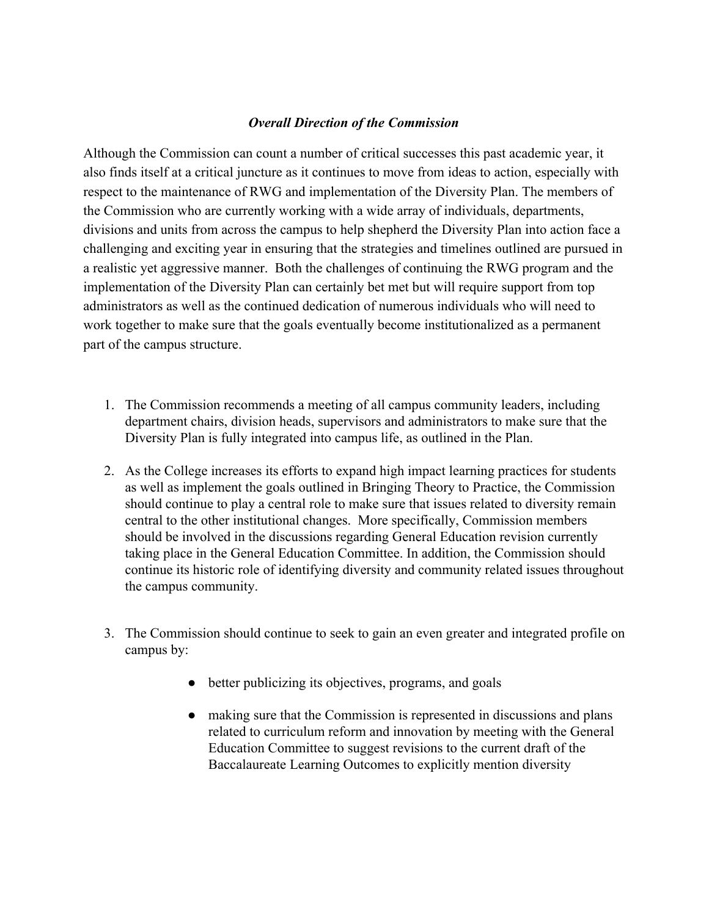#### *Overall Direction of the Commission*

Although the Commission can count a number of critical successes this past academic year, it also finds itself at a critical juncture as it continues to move from ideas to action, especially with respect to the maintenance of RWG and implementation of the Diversity Plan. The members of the Commission who are currently working with a wide array of individuals, departments, divisions and units from across the campus to help shepherd the Diversity Plan into action face a challenging and exciting year in ensuring that the strategies and timelines outlined are pursued in a realistic yet aggressive manner. Both the challenges of continuing the RWG program and the implementation of the Diversity Plan can certainly bet met but will require support from top administrators as well as the continued dedication of numerous individuals who will need to work together to make sure that the goals eventually become institutionalized as a permanent part of the campus structure.

- 1. The Commission recommends a meeting of all campus community leaders, including department chairs, division heads, supervisors and administrators to make sure that the Diversity Plan is fully integrated into campus life, as outlined in the Plan.
- 2. As the College increases its efforts to expand high impact learning practices for students as well as implement the goals outlined in Bringing Theory to Practice, the Commission should continue to play a central role to make sure that issues related to diversity remain central to the other institutional changes. More specifically, Commission members should be involved in the discussions regarding General Education revision currently taking place in the General Education Committee. In addition, the Commission should continue its historic role of identifying diversity and community related issues throughout the campus community.
- 3. The Commission should continue to seek to gain an even greater and integrated profile on campus by:
	- better publicizing its objectives, programs, and goals
	- making sure that the Commission is represented in discussions and plans related to curriculum reform and innovation by meeting with the General Education Committee to suggest revisions to the current draft of the Baccalaureate Learning Outcomes to explicitly mention diversity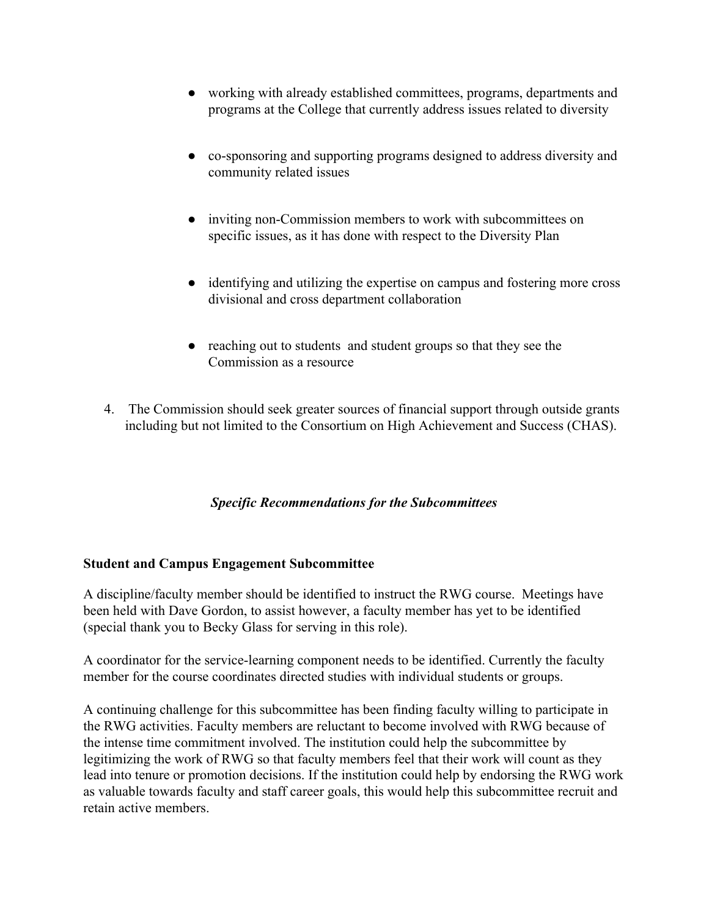- working with already established committees, programs, departments and programs at the College that currently address issues related to diversity
- co-sponsoring and supporting programs designed to address diversity and community related issues
- inviting non-Commission members to work with subcommittees on specific issues, as it has done with respect to the Diversity Plan
- identifying and utilizing the expertise on campus and fostering more cross divisional and cross department collaboration
- reaching out to students and student groups so that they see the Commission as a resource
- 4. The Commission should seek greater sources of financial support through outside grants including but not limited to the Consortium on High Achievement and Success (CHAS).

# *Specific Recommendations for the Subcommittees*

#### **Student and Campus Engagement Subcommittee**

A discipline/faculty member should be identified to instruct the RWG course. Meetings have been held with Dave Gordon, to assist however, a faculty member has yet to be identified (special thank you to Becky Glass for serving in this role).

A coordinator for the service-learning component needs to be identified. Currently the faculty member for the course coordinates directed studies with individual students or groups.

A continuing challenge for this subcommittee has been finding faculty willing to participate in the RWG activities. Faculty members are reluctant to become involved with RWG because of the intense time commitment involved. The institution could help the subcommittee by legitimizing the work of RWG so that faculty members feel that their work will count as they lead into tenure or promotion decisions. If the institution could help by endorsing the RWG work as valuable towards faculty and staff career goals, this would help this subcommittee recruit and retain active members.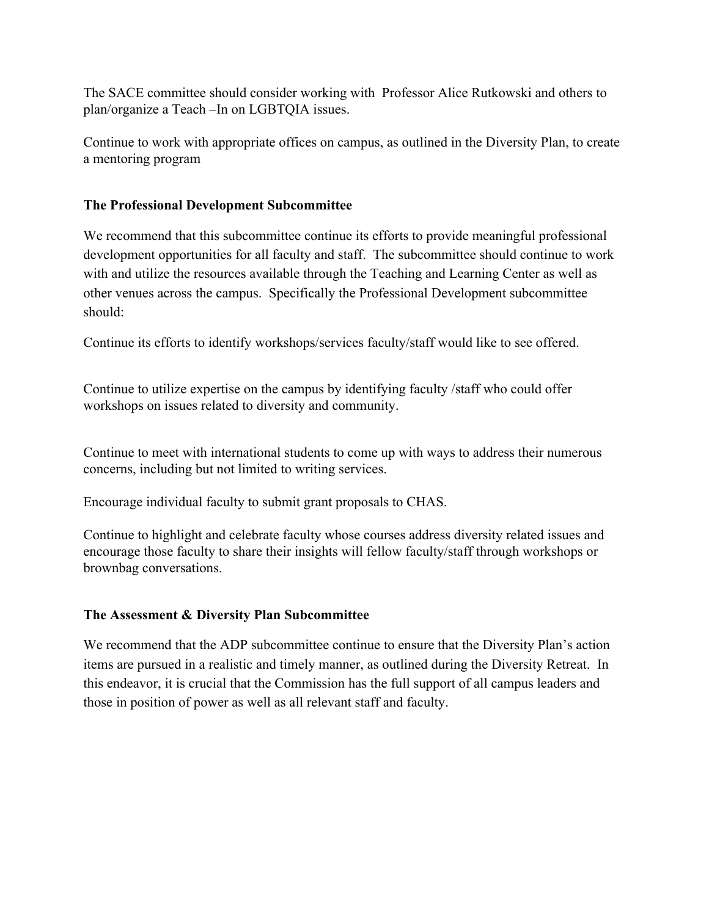The SACE committee should consider working with Professor Alice Rutkowski and others to plan/organize a Teach –In on LGBTQIA issues.

Continue to work with appropriate offices on campus, as outlined in the Diversity Plan, to create a mentoring program

# **The Professional Development Subcommittee**

We recommend that this subcommittee continue its efforts to provide meaningful professional development opportunities for all faculty and staff. The subcommittee should continue to work with and utilize the resources available through the Teaching and Learning Center as well as other venues across the campus. Specifically the Professional Development subcommittee should:

Continue its efforts to identify workshops/services faculty/staff would like to see offered.

Continue to utilize expertise on the campus by identifying faculty /staff who could offer workshops on issues related to diversity and community.

Continue to meet with international students to come up with ways to address their numerous concerns, including but not limited to writing services.

Encourage individual faculty to submit grant proposals to CHAS.

Continue to highlight and celebrate faculty whose courses address diversity related issues and encourage those faculty to share their insights will fellow faculty/staff through workshops or brownbag conversations.

# **The Assessment & Diversity Plan Subcommittee**

We recommend that the ADP subcommittee continue to ensure that the Diversity Plan's action items are pursued in a realistic and timely manner, as outlined during the Diversity Retreat. In this endeavor, it is crucial that the Commission has the full support of all campus leaders and those in position of power as well as all relevant staff and faculty.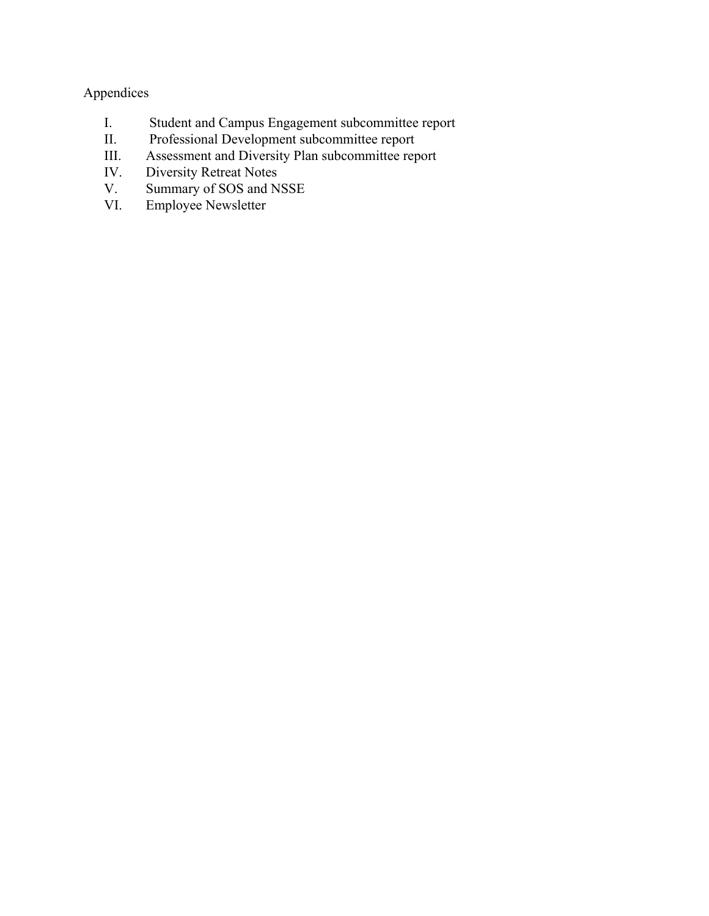# Appendices

- I. Student and Campus Engagement subcommittee report
- II. Professional Development subcommittee report<br>III. Assessment and Diversity Plan subcommittee rep
- III. Assessment and Diversity Plan subcommittee report<br>IV. Diversity Retreat Notes
- IV. Diversity Retreat Notes<br>V. Summary of SOS and N
- V. Summary of SOS and NSSE<br>VI. Employee Newsletter
- Employee Newsletter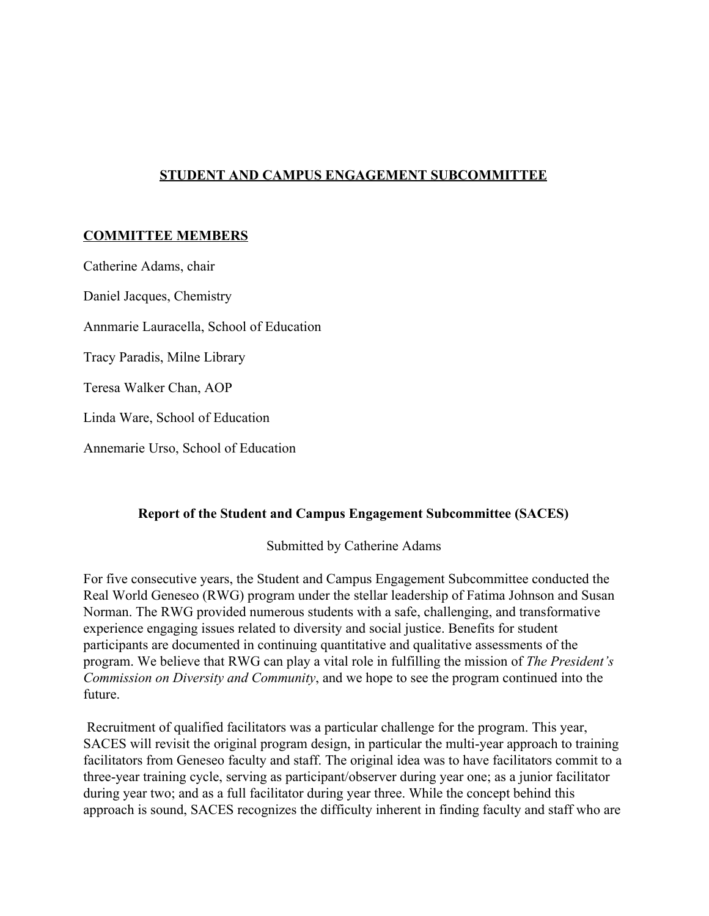# **STUDENT AND CAMPUS ENGAGEMENT SUBCOMMITTEE**

# **COMMITTEE MEMBERS**

Catherine Adams, chair Daniel Jacques, Chemistry Annmarie Lauracella, School of Education Tracy Paradis, Milne Library Teresa Walker Chan, AOP Linda Ware, School of Education Annemarie Urso, School of Education

#### **Report of the Student and Campus Engagement Subcommittee (SACES)**

Submitted by Catherine Adams

For five consecutive years, the Student and Campus Engagement Subcommittee conducted the Real World Geneseo (RWG) program under the stellar leadership of Fatima Johnson and Susan Norman. The RWG provided numerous students with a safe, challenging, and transformative experience engaging issues related to diversity and social justice. Benefits for student participants are documented in continuing quantitative and qualitative assessments of the program. We believe that RWG can play a vital role in fulfilling the mission of *The President's Commission on Diversity and Community*, and we hope to see the program continued into the future.

Recruitment of qualified facilitators was a particular challenge for the program. This year, SACES will revisit the original program design, in particular the multi-year approach to training facilitators from Geneseo faculty and staff. The original idea was to have facilitators commit to a three-year training cycle, serving as participant/observer during year one; as a junior facilitator during year two; and as a full facilitator during year three. While the concept behind this approach is sound, SACES recognizes the difficulty inherent in finding faculty and staff who are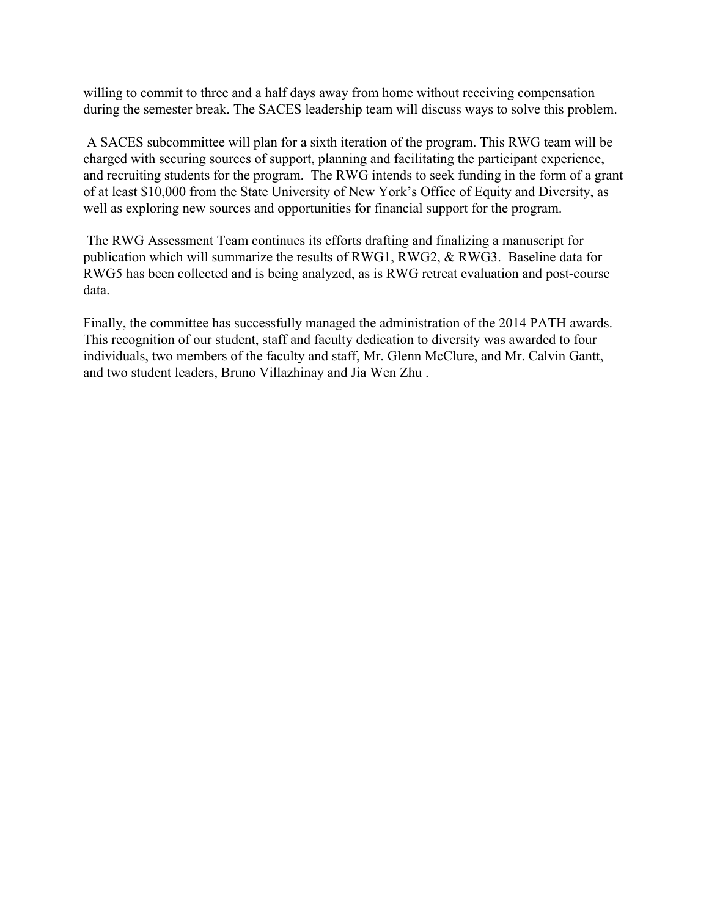willing to commit to three and a half days away from home without receiving compensation during the semester break. The SACES leadership team will discuss ways to solve this problem.

A SACES subcommittee will plan for a sixth iteration of the program. This RWG team will be charged with securing sources of support, planning and facilitating the participant experience, and recruiting students for the program. The RWG intends to seek funding in the form of a grant of at least \$10,000 from the State University of New York's Office of Equity and Diversity, as well as exploring new sources and opportunities for financial support for the program.

The RWG Assessment Team continues its efforts drafting and finalizing a manuscript for publication which will summarize the results of RWG1, RWG2, & RWG3. Baseline data for RWG5 has been collected and is being analyzed, as is RWG retreat evaluation and post-course data.

Finally, the committee has successfully managed the administration of the 2014 PATH awards. This recognition of our student, staff and faculty dedication to diversity was awarded to four individuals, two members of the faculty and staff, Mr. Glenn McClure, and Mr. Calvin Gantt, and two student leaders, Bruno Villazhinay and Jia Wen Zhu .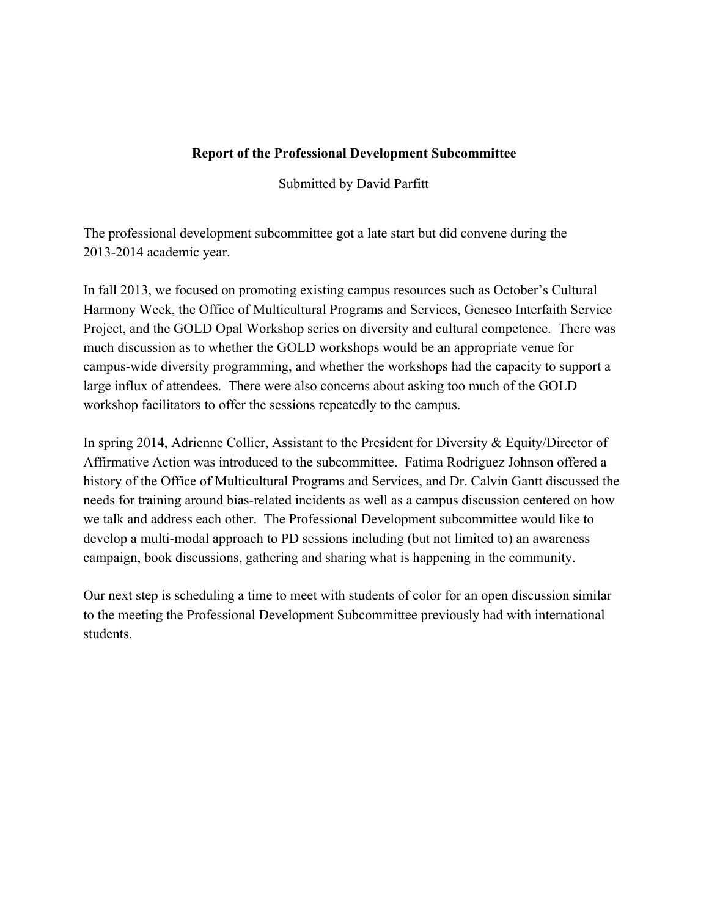# **Report of the Professional Development Subcommittee**

Submitted by David Parfitt

The professional development subcommittee got a late start but did convene during the 20132014 academic year.

In fall 2013, we focused on promoting existing campus resources such as October's Cultural Harmony Week, the Office of Multicultural Programs and Services, Geneseo Interfaith Service Project, and the GOLD Opal Workshop series on diversity and cultural competence. There was much discussion as to whether the GOLD workshops would be an appropriate venue for campus-wide diversity programming, and whether the workshops had the capacity to support a large influx of attendees. There were also concerns about asking too much of the GOLD workshop facilitators to offer the sessions repeatedly to the campus.

In spring 2014, Adrienne Collier, Assistant to the President for Diversity & Equity/Director of Affirmative Action was introduced to the subcommittee. Fatima Rodriguez Johnson offered a history of the Office of Multicultural Programs and Services, and Dr. Calvin Gantt discussed the needs for training around bias-related incidents as well as a campus discussion centered on how we talk and address each other. The Professional Development subcommittee would like to develop a multi-modal approach to PD sessions including (but not limited to) an awareness campaign, book discussions, gathering and sharing what is happening in the community.

Our next step is scheduling a time to meet with students of color for an open discussion similar to the meeting the Professional Development Subcommittee previously had with international students.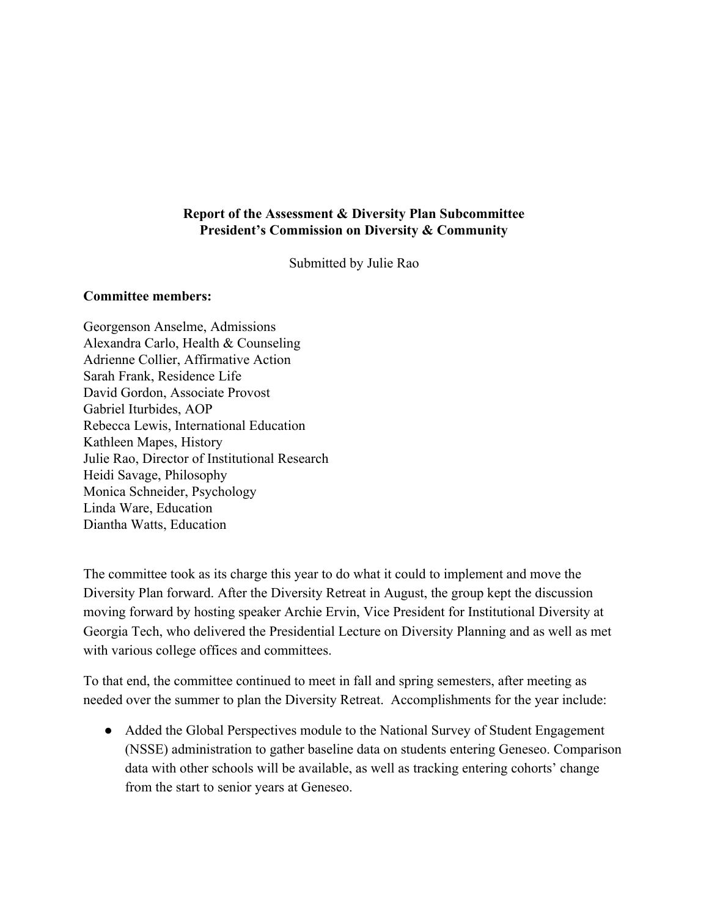# **Report of the Assessment & Diversity Plan Subcommittee President's Commission on Diversity & Community**

Submitted by Julie Rao

#### **Committee members:**

Georgenson Anselme, Admissions Alexandra Carlo, Health & Counseling Adrienne Collier, Affirmative Action Sarah Frank, Residence Life David Gordon, Associate Provost Gabriel Iturbides, AOP Rebecca Lewis, International Education Kathleen Mapes, History Julie Rao, Director of Institutional Research Heidi Savage, Philosophy Monica Schneider, Psychology Linda Ware, Education Diantha Watts, Education

The committee took as its charge this year to do what it could to implement and move the Diversity Plan forward. After the Diversity Retreat in August, the group kept the discussion moving forward by hosting speaker Archie Ervin, Vice President for Institutional Diversity at Georgia Tech, who delivered the Presidential Lecture on Diversity Planning and as well as met with various college offices and committees.

To that end, the committee continued to meet in fall and spring semesters, after meeting as needed over the summer to plan the Diversity Retreat. Accomplishments for the year include:

• Added the Global Perspectives module to the National Survey of Student Engagement (NSSE) administration to gather baseline data on students entering Geneseo. Comparison data with other schools will be available, as well as tracking entering cohorts' change from the start to senior years at Geneseo.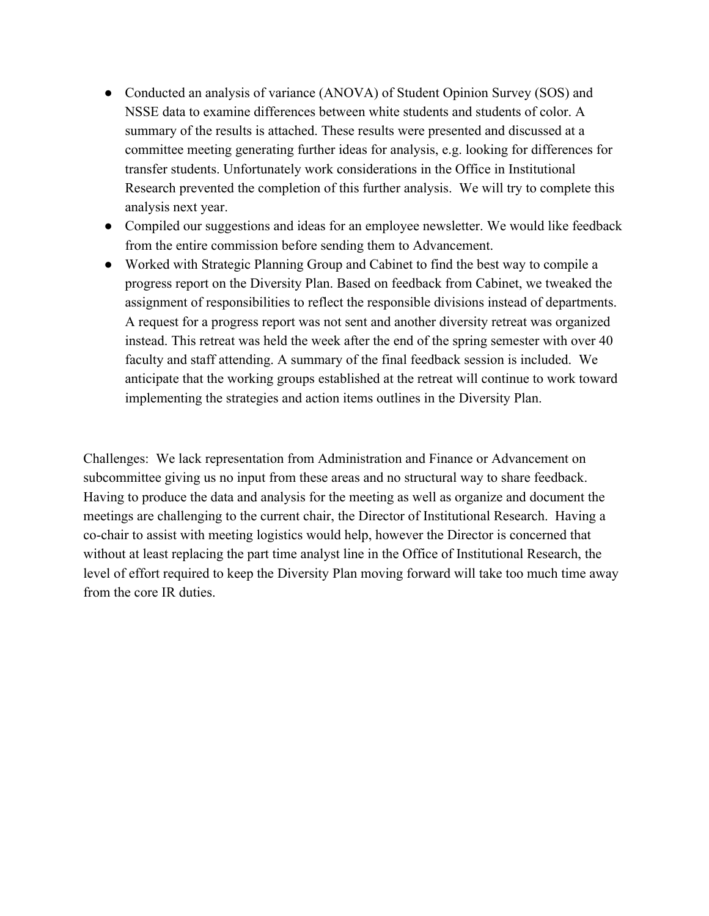- Conducted an analysis of variance (ANOVA) of Student Opinion Survey (SOS) and NSSE data to examine differences between white students and students of color. A summary of the results is attached. These results were presented and discussed at a committee meeting generating further ideas for analysis, e.g. looking for differences for transfer students. Unfortunately work considerations in the Office in Institutional Research prevented the completion of this further analysis. We will try to complete this analysis next year.
- Compiled our suggestions and ideas for an employee newsletter. We would like feedback from the entire commission before sending them to Advancement.
- Worked with Strategic Planning Group and Cabinet to find the best way to compile a progress report on the Diversity Plan. Based on feedback from Cabinet, we tweaked the assignment of responsibilities to reflect the responsible divisions instead of departments. A request for a progress report was not sent and another diversity retreat was organized instead. This retreat was held the week after the end of the spring semester with over 40 faculty and staff attending. A summary of the final feedback session is included. We anticipate that the working groups established at the retreat will continue to work toward implementing the strategies and action items outlines in the Diversity Plan.

Challenges: We lack representation from Administration and Finance or Advancement on subcommittee giving us no input from these areas and no structural way to share feedback. Having to produce the data and analysis for the meeting as well as organize and document the meetings are challenging to the current chair, the Director of Institutional Research. Having a cochair to assist with meeting logistics would help, however the Director is concerned that without at least replacing the part time analyst line in the Office of Institutional Research, the level of effort required to keep the Diversity Plan moving forward will take too much time away from the core IR duties.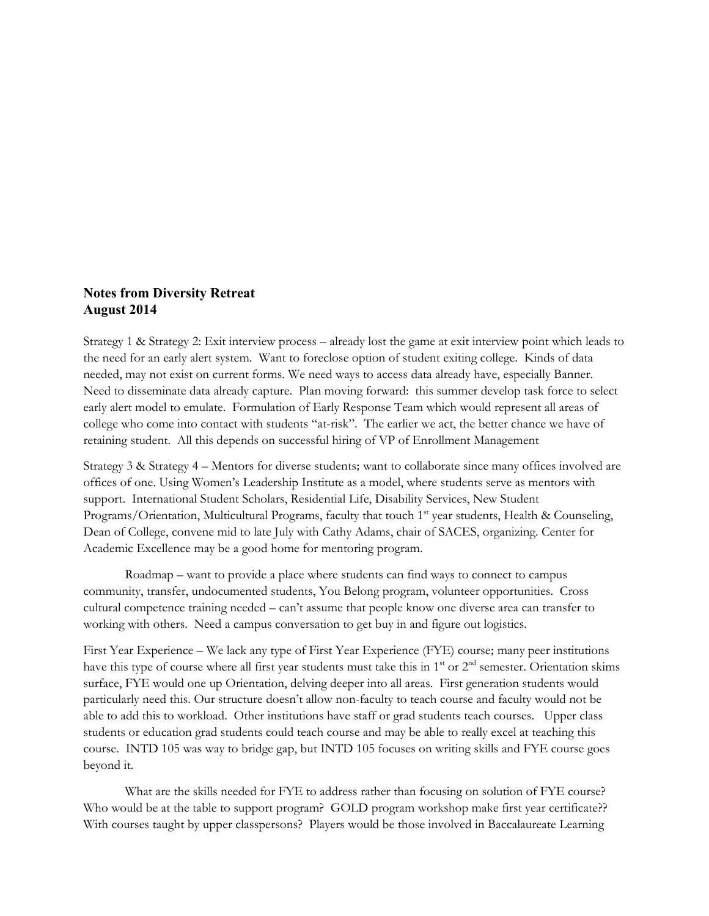#### **Notes from Diversity Retreat August 2014**

Strategy 1 & Strategy 2: Exit interview process – already lost the game at exit interview point which leads to the need for an early alert system. Want to foreclose option of student exiting college. Kinds of data needed, may not exist on current forms. We need ways to access data already have, especially Banner. Need to disseminate data already capture. Plan moving forward: this summer develop task force to select early alert model to emulate. Formulation of Early Response Team which would represent all areas of college who come into contact with students "at-risk". The earlier we act, the better chance we have of retaining student. All this depends on successful hiring of VP of Enrollment Management

Strategy 3 & Strategy 4 – Mentors for diverse students; want to collaborate since many offices involved are offices of one. Using Women's Leadership Institute as a model, where students serve as mentors with support. International Student Scholars, Residential Life, Disability Services, New Student Programs/Orientation, Multicultural Programs, faculty that touch 1st year students, Health & Counseling, Dean of College, convene mid to late July with Cathy Adams, chair of SACES, organizing. Center for Academic Excellence may be a good home for mentoring program.

Roadmap – want to provide a place where students can find ways to connect to campus community, transfer, undocumented students, You Belong program, volunteer opportunities. Cross cultural competence training needed – can't assume that people know one diverse area can transfer to working with others. Need a campus conversation to get buy in and figure out logistics.

First Year Experience – We lack any type of First Year Experience (FYE) course; many peer institutions have this type of course where all first year students must take this in 1<sup>st</sup> or 2<sup>nd</sup> semester. Orientation skims surface, FYE would one up Orientation, delving deeper into all areas. First generation students would particularly need this. Our structure doesn't allow non-faculty to teach course and faculty would not be able to add this to workload. Other institutions have staff or grad students teach courses. Upper class students or education grad students could teach course and may be able to really excel at teaching this course. INTD 105 was way to bridge gap, but INTD 105 focuses on writing skills and FYE course goes beyond it.

What are the skills needed for FYE to address rather than focusing on solution of FYE course? Who would be at the table to support program? GOLD program workshop make first year certificate?? With courses taught by upper classpersons? Players would be those involved in Baccalaureate Learning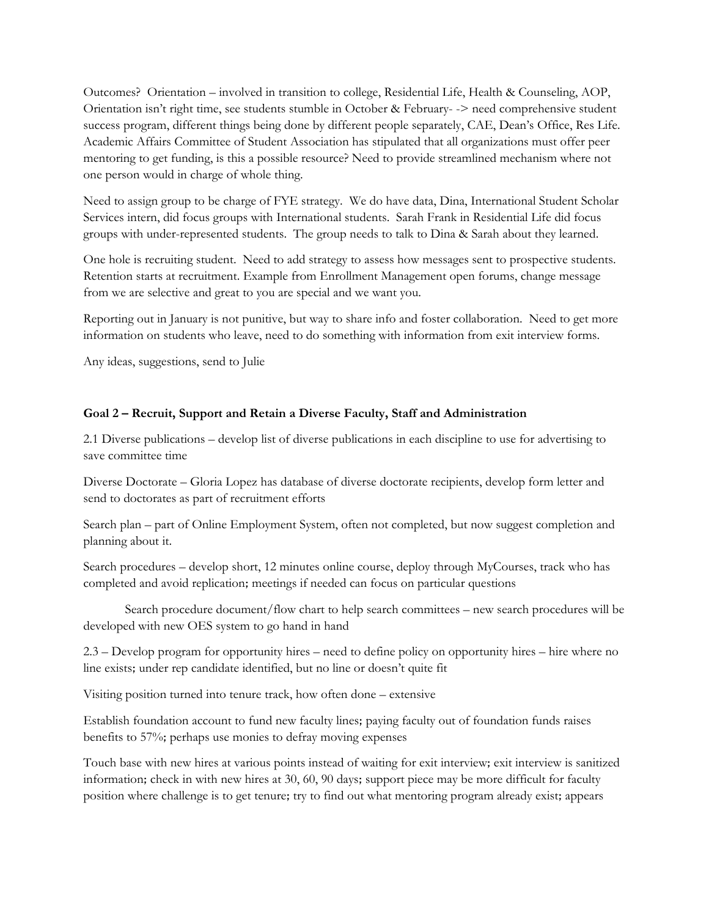Outcomes? Orientation – involved in transition to college, Residential Life, Health & Counseling, AOP, Orientation isn't right time, see students stumble in October & February- -> need comprehensive student success program, different things being done by different people separately, CAE, Dean's Office, Res Life. Academic Affairs Committee of Student Association has stipulated that all organizations must offer peer mentoring to get funding, is this a possible resource? Need to provide streamlined mechanism where not one person would in charge of whole thing.

Need to assign group to be charge of FYE strategy. We do have data, Dina, International Student Scholar Services intern, did focus groups with International students. Sarah Frank in Residential Life did focus groups with under-represented students. The group needs to talk to Dina & Sarah about they learned.

One hole is recruiting student. Need to add strategy to assess how messages sent to prospective students. Retention starts at recruitment. Example from Enrollment Management open forums, change message from we are selective and great to you are special and we want you.

Reporting out in January is not punitive, but way to share info and foster collaboration. Need to get more information on students who leave, need to do something with information from exit interview forms.

Any ideas, suggestions, send to Julie

#### **Goal 2 – Recruit, Support and Retain a Diverse Faculty, Staff and Administration**

2.1 Diverse publications – develop list of diverse publications in each discipline to use for advertising to save committee time

Diverse Doctorate – Gloria Lopez has database of diverse doctorate recipients, develop form letter and send to doctorates as part of recruitment efforts

Search plan – part of Online Employment System, often not completed, but now suggest completion and planning about it.

Search procedures – develop short, 12 minutes online course, deploy through MyCourses, track who has completed and avoid replication; meetings if needed can focus on particular questions

Search procedure document/flow chart to help search committees – new search procedures will be developed with new OES system to go hand in hand

2.3 – Develop program for opportunity hires – need to define policy on opportunity hires – hire where no line exists; under rep candidate identified, but no line or doesn't quite fit

Visiting position turned into tenure track, how often done – extensive

Establish foundation account to fund new faculty lines; paying faculty out of foundation funds raises benefits to 57%; perhaps use monies to defray moving expenses

Touch base with new hires at various points instead of waiting for exit interview; exit interview is sanitized information; check in with new hires at 30, 60, 90 days; support piece may be more difficult for faculty position where challenge is to get tenure; try to find out what mentoring program already exist; appears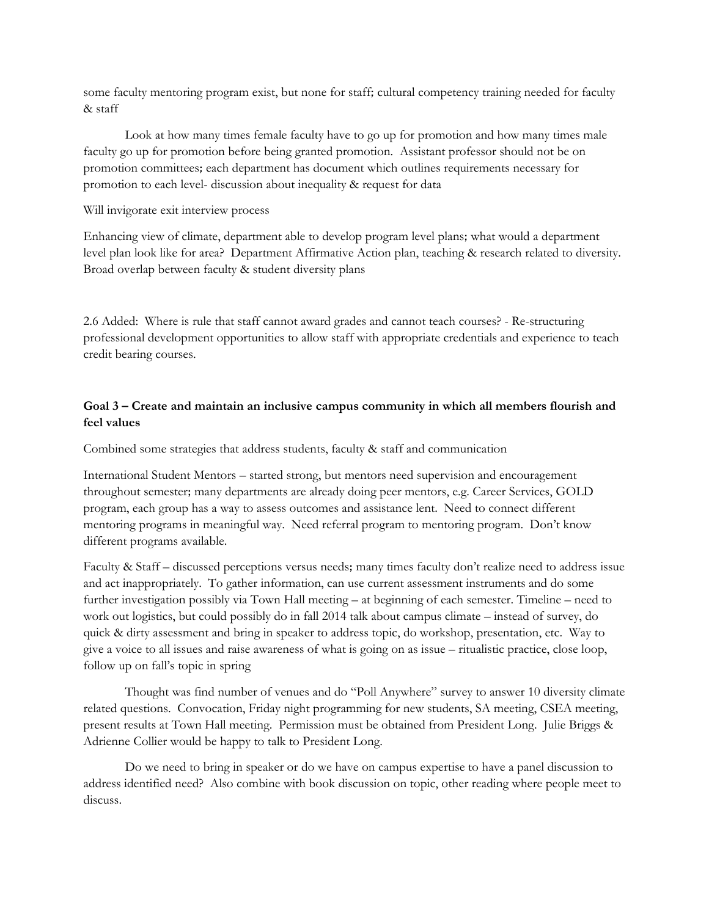some faculty mentoring program exist, but none for staff; cultural competency training needed for faculty & staff

Look at how many times female faculty have to go up for promotion and how many times male faculty go up for promotion before being granted promotion. Assistant professor should not be on promotion committees; each department has document which outlines requirements necessary for promotion to each level- discussion about inequality & request for data

#### Will invigorate exit interview process

Enhancing view of climate, department able to develop program level plans; what would a department level plan look like for area? Department Affirmative Action plan, teaching & research related to diversity. Broad overlap between faculty & student diversity plans

2.6 Added: Where is rule that staff cannot award grades and cannot teach courses? - Re-structuring professional development opportunities to allow staff with appropriate credentials and experience to teach credit bearing courses.

#### **Goal 3 – Create and maintain an inclusive campus community in which all members flourish and feel values**

Combined some strategies that address students, faculty & staff and communication

International Student Mentors – started strong, but mentors need supervision and encouragement throughout semester; many departments are already doing peer mentors, e.g. Career Services, GOLD program, each group has a way to assess outcomes and assistance lent. Need to connect different mentoring programs in meaningful way. Need referral program to mentoring program. Don't know different programs available.

Faculty & Staff – discussed perceptions versus needs; many times faculty don't realize need to address issue and act inappropriately. To gather information, can use current assessment instruments and do some further investigation possibly via Town Hall meeting – at beginning of each semester. Timeline – need to work out logistics, but could possibly do in fall 2014 talk about campus climate – instead of survey, do quick & dirty assessment and bring in speaker to address topic, do workshop, presentation, etc. Way to give a voice to all issues and raise awareness of what is going on as issue – ritualistic practice, close loop, follow up on fall's topic in spring

Thought was find number of venues and do "Poll Anywhere" survey to answer 10 diversity climate related questions. Convocation, Friday night programming for new students, SA meeting, CSEA meeting, present results at Town Hall meeting. Permission must be obtained from President Long. Julie Briggs & Adrienne Collier would be happy to talk to President Long.

Do we need to bring in speaker or do we have on campus expertise to have a panel discussion to address identified need? Also combine with book discussion on topic, other reading where people meet to discuss.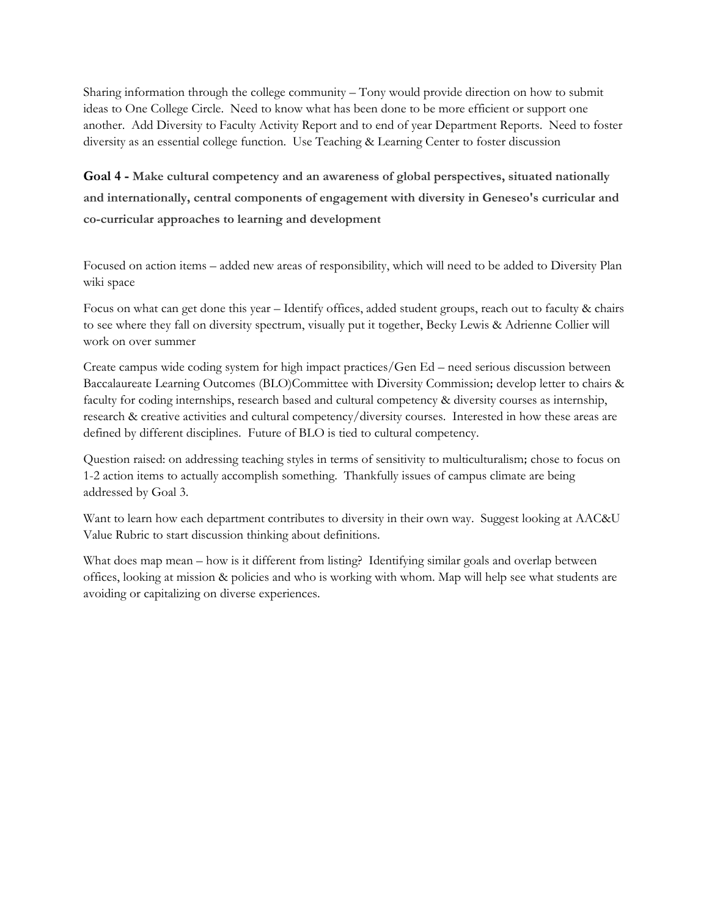Sharing information through the college community – Tony would provide direction on how to submit ideas to One College Circle. Need to know what has been done to be more efficient or support one another. Add Diversity to Faculty Activity Report and to end of year Department Reports. Need to foster diversity as an essential college function. Use Teaching & Learning Center to foster discussion

**Goal 4 - Make cultural competency and an awareness of global perspectives, situated nationally and internationally, central components of engagement with diversity in Geneseo's curricular and co-curricular approaches to learning and development**

Focused on action items – added new areas of responsibility, which will need to be added to Diversity Plan wiki space

Focus on what can get done this year – Identify offices, added student groups, reach out to faculty & chairs to see where they fall on diversity spectrum, visually put it together, Becky Lewis & Adrienne Collier will work on over summer

Create campus wide coding system for high impact practices/Gen Ed – need serious discussion between Baccalaureate Learning Outcomes (BLO)Committee with Diversity Commission; develop letter to chairs & faculty for coding internships, research based and cultural competency & diversity courses as internship, research & creative activities and cultural competency/diversity courses. Interested in how these areas are defined by different disciplines. Future of BLO is tied to cultural competency.

Question raised: on addressing teaching styles in terms of sensitivity to multiculturalism; chose to focus on 1-2 action items to actually accomplish something. Thankfully issues of campus climate are being addressed by Goal 3.

Want to learn how each department contributes to diversity in their own way. Suggest looking at AAC&U Value Rubric to start discussion thinking about definitions.

What does map mean – how is it different from listing? Identifying similar goals and overlap between offices, looking at mission & policies and who is working with whom. Map will help see what students are avoiding or capitalizing on diverse experiences.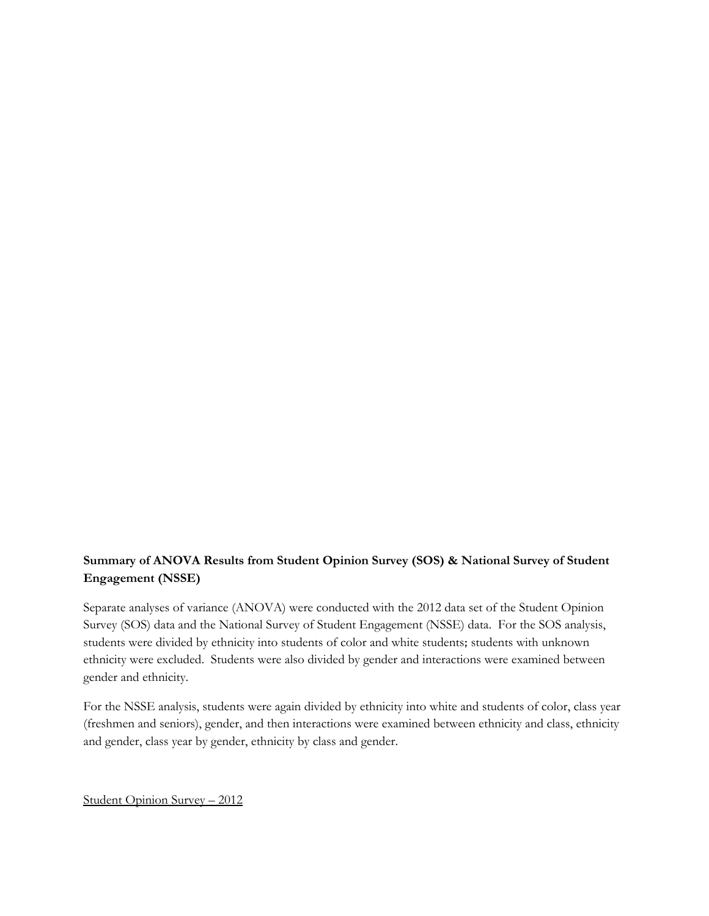# **Summary of ANOVA Results from Student Opinion Survey (SOS) & National Survey of Student Engagement (NSSE)**

Separate analyses of variance (ANOVA) were conducted with the 2012 data set of the Student Opinion Survey (SOS) data and the National Survey of Student Engagement (NSSE) data. For the SOS analysis, students were divided by ethnicity into students of color and white students; students with unknown ethnicity were excluded. Students were also divided by gender and interactions were examined between gender and ethnicity.

For the NSSE analysis, students were again divided by ethnicity into white and students of color, class year (freshmen and seniors), gender, and then interactions were examined between ethnicity and class, ethnicity and gender, class year by gender, ethnicity by class and gender.

Student Opinion Survey – 2012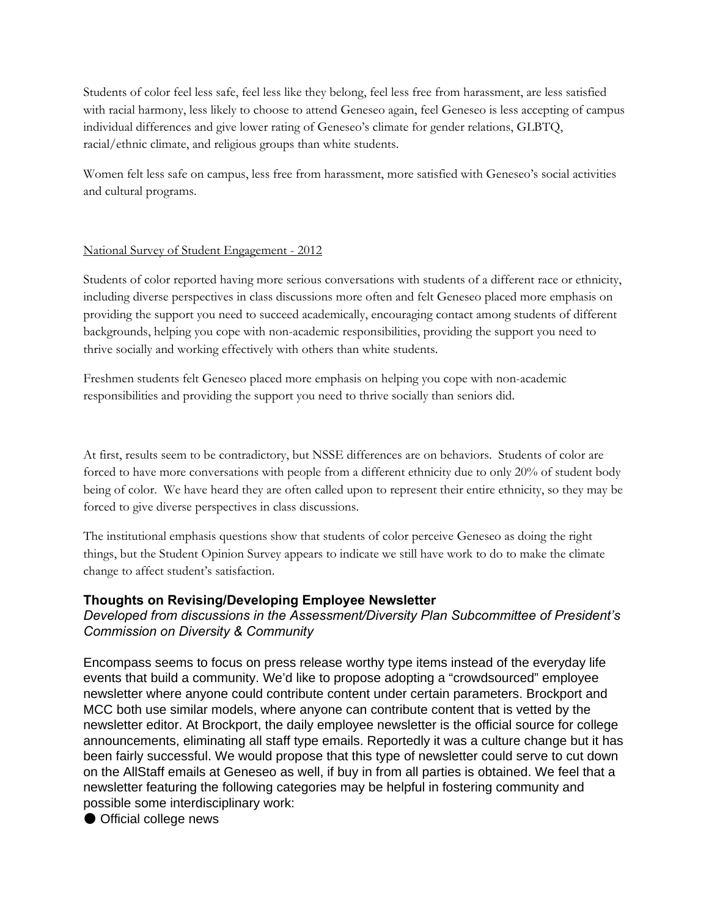Students of color feel less safe, feel less like they belong, feel less free from harassment, are less satisfied with racial harmony, less likely to choose to attend Geneseo again, feel Geneseo is less accepting of campus individual differences and give lower rating of Geneseo's climate for gender relations, GLBTQ, racial/ethnic climate, and religious groups than white students.

Women felt less safe on campus, less free from harassment, more satisfied with Geneseo's social activities and cultural programs.

#### National Survey of Student Engagement - 2012

Students of color reported having more serious conversations with students of a different race or ethnicity, including diverse perspectives in class discussions more often and felt Geneseo placed more emphasis on providing the support you need to succeed academically, encouraging contact among students of different backgrounds, helping you cope with non-academic responsibilities, providing the support you need to thrive socially and working effectively with others than white students.

Freshmen students felt Geneseo placed more emphasis on helping you cope with non-academic responsibilities and providing the support you need to thrive socially than seniors did.

At first, results seem to be contradictory, but NSSE differences are on behaviors. Students of color are forced to have more conversations with people from a different ethnicity due to only 20% of student body being of color. We have heard they are often called upon to represent their entire ethnicity, so they may be forced to give diverse perspectives in class discussions.

The institutional emphasis questions show that students of color perceive Geneseo as doing the right things, but the Student Opinion Survey appears to indicate we still have work to do to make the climate change to affect student's satisfaction.

#### **Thoughts on Revising/Developing Employee Newsletter**

# *Developed from discussions in the Assessment/Diversity Plan Subcommittee of President's Commission on Diversity & Community*

Encompass seems to focus on press release worthy type items instead of the everyday life events that build a community. We'd like to propose adopting a "crowdsourced" employee newsletter where anyone could contribute content under certain parameters. Brockport and MCC both use similar models, where anyone can contribute content that is vetted by the newsletter editor. At Brockport, the daily employee newsletter is the official source for college announcements, eliminating all staff type emails. Reportedly it was a culture change but it has been fairly successful. We would propose that this type of newsletter could serve to cut down on the AllStaff emails at Geneseo as well, if buy in from all parties is obtained. We feel that a newsletter featuring the following categories may be helpful in fostering community and possible some interdisciplinary work:

● Official college news